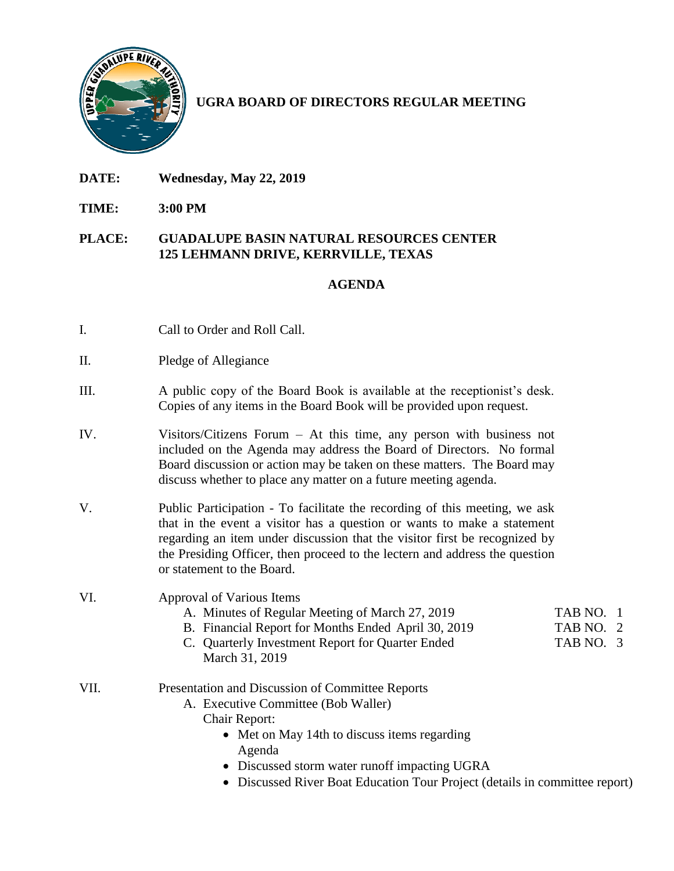

# **UGRA BOARD OF DIRECTORS REGULAR MEETING**

- **DATE: Wednesday, May 22, 2019**
- **TIME: 3:00 PM**

#### **PLACE: GUADALUPE BASIN NATURAL RESOURCES CENTER 125 LEHMANN DRIVE, KERRVILLE, TEXAS**

## **AGENDA**

- I. Call to Order and Roll Call.
- II. Pledge of Allegiance
- III. A public copy of the Board Book is available at the receptionist's desk. Copies of any items in the Board Book will be provided upon request.
- IV. Visitors/Citizens Forum At this time, any person with business not included on the Agenda may address the Board of Directors. No formal Board discussion or action may be taken on these matters. The Board may discuss whether to place any matter on a future meeting agenda.
- V. Public Participation To facilitate the recording of this meeting, we ask that in the event a visitor has a question or wants to make a statement regarding an item under discussion that the visitor first be recognized by the Presiding Officer, then proceed to the lectern and address the question or statement to the Board.

### VI. Approval of Various Items

- A. Minutes of Regular Meeting of March 27, 2019 TAB NO. 1
- B. Financial Report for Months Ended April 30, 2019 TAB NO. 2
	-
- C. Quarterly Investment Report for Quarter Ended TAB NO. 3 March 31, 2019
- VII. Presentation and Discussion of Committee Reports
	- A. Executive Committee (Bob Waller)
		- Chair Report:
			- Met on May 14th to discuss items regarding Agenda
			- Discussed storm water runoff impacting UGRA
			- Discussed River Boat Education Tour Project (details in committee report)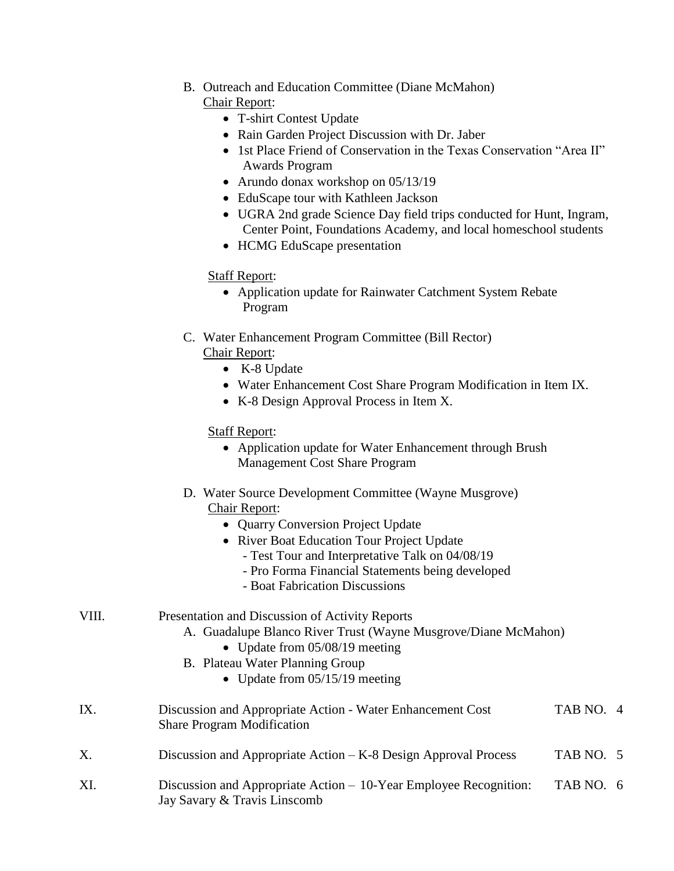- B. Outreach and Education Committee (Diane McMahon) Chair Report:
	- T-shirt Contest Update
	- Rain Garden Project Discussion with Dr. Jaber
	- 1st Place Friend of Conservation in the Texas Conservation "Area II" Awards Program
	- Arundo donax workshop on 05/13/19
	- EduScape tour with Kathleen Jackson
	- UGRA 2nd grade Science Day field trips conducted for Hunt, Ingram, Center Point, Foundations Academy, and local homeschool students
	- HCMG EduScape presentation

## Staff Report:

- Application update for Rainwater Catchment System Rebate Program
- C. Water Enhancement Program Committee (Bill Rector) Chair Report:
	- K-8 Update
	- Water Enhancement Cost Share Program Modification in Item IX.
	- K-8 Design Approval Process in Item X.

## Staff Report:

| • Application update for Water Enhancement through Brush |
|----------------------------------------------------------|
| <b>Management Cost Share Program</b>                     |

- D. Water Source Development Committee (Wayne Musgrove) Chair Report:
	- Quarry Conversion Project Update
	- River Boat Education Tour Project Update
		- Test Tour and Interpretative Talk on 04/08/19
		- Pro Forma Financial Statements being developed
		- Boat Fabrication Discussions

| VIII.<br>Presentation and Discussion of Activity Reports<br>A. Guadalupe Blanco River Trust (Wayne Musgrove/Diane McMahon)<br>• Update from $05/08/19$ meeting<br>B. Plateau Water Planning Group<br>• Update from $05/15/19$ meeting |                                                                                                 |           |  |
|---------------------------------------------------------------------------------------------------------------------------------------------------------------------------------------------------------------------------------------|-------------------------------------------------------------------------------------------------|-----------|--|
| IX.                                                                                                                                                                                                                                   | Discussion and Appropriate Action - Water Enhancement Cost<br><b>Share Program Modification</b> | TAB NO. 4 |  |
|                                                                                                                                                                                                                                       |                                                                                                 |           |  |

- X. Discussion and Appropriate Action K-8 Design Approval Process TAB NO. 5
- XI. Discussion and Appropriate Action 10-Year Employee Recognition: TAB NO. 6 Jay Savary & Travis Linscomb